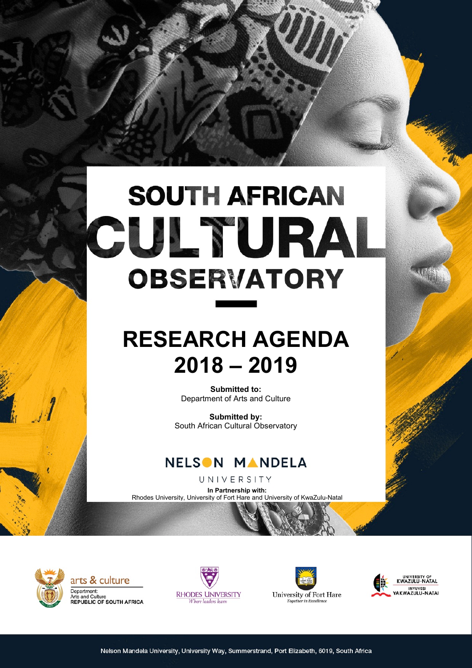# **SOUTH AFRICAN** CULTURA **OBSERVATORY**

# **RESEARCH AGENDA 2018 – 2019**

**Submitted to:** Department of Arts and Culture

**Submitted by:** South African Cultural Observatory



UNIVERSITY

**In Partnership with:** Rhodes University, University of Fort Hare and University of KwaZulu-Natal



arts & culture Department: Dopartmont:<br>Arts and Culture<br>REPUBLIC OF SOUTH AFRICA





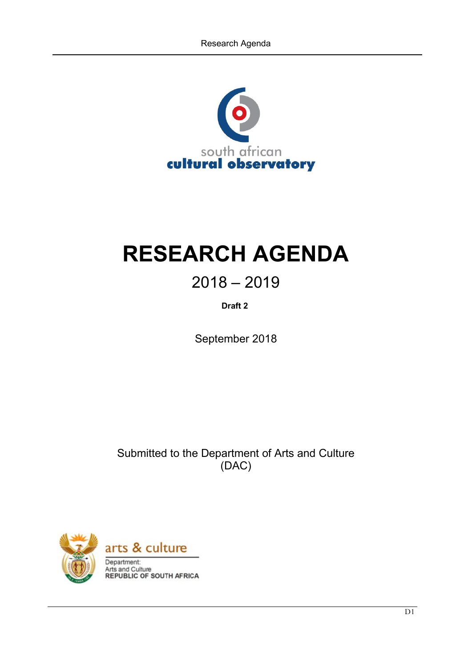

# **RESEARCH AGENDA**

# $2018 - 2019$

**Draft 2**

September 2018

Submitted to the Department of Arts and Culture (DAC)

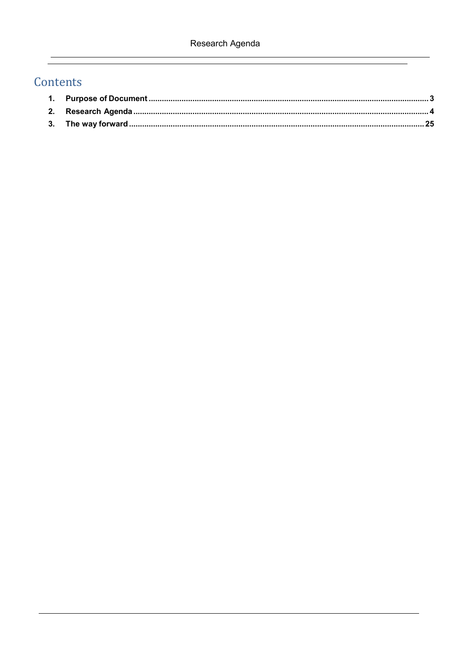# Contents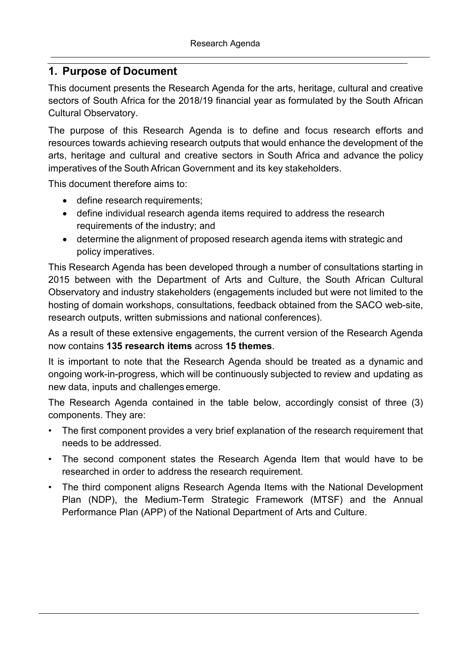## <span id="page-3-0"></span>**1. Purpose of Document**

This document presents the Research Agenda for the arts, heritage, cultural and creative sectors of South Africa for the 2018/19 financial year as formulated by the South African Cultural Observatory.

The purpose of this Research Agenda is to define and focus research efforts and resources towards achieving research outputs that would enhance the development of the arts, heritage and cultural and creative sectors in South Africa and advance the policy imperatives of the South African Government and its key stakeholders.

This document therefore aims to:

- define research requirements;
- define individual research agenda items required to address the research requirements of the industry; and
- determine the alignment of proposed research agenda items with strategic and policy imperatives.

This Research Agenda has been developed through a number of consultations starting in 2015 between with the Department of Arts and Culture, the South African Cultural Observatory and industry stakeholders (engagements included but were not limited to the hosting of domain workshops, consultations, feedback obtained from the SACO web-site, research outputs, written submissions and national conferences).

As a result of these extensive engagements, the current version of the Research Agenda now contains **135 research items** across **15 themes**.

It is important to note that the Research Agenda should be treated as a dynamic and ongoing work-in-progress, which will be continuously subjected to review and updating as new data, inputs and challenges emerge.

The Research Agenda contained in the table below, accordingly consist of three (3) components. They are:

- The first component provides a very brief explanation of the research requirement that needs to be addressed.
- The second component states the Research Agenda Item that would have to be researched in order to address the research requirement.
- The third component aligns Research Agenda Items with the National Development Plan (NDP), the Medium-Term Strategic Framework (MTSF) and the Annual Performance Plan (APP) of the National Department of Arts and Culture.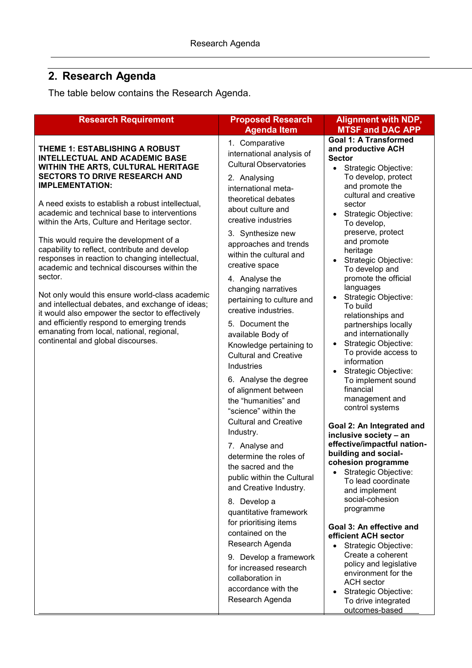<span id="page-4-0"></span>The table below contains the Research Agenda.

| <b>Research Requirement</b>                                                                                                                                                                                                                                                                                                                                                                                                                                                                                                                                                                                                                                                                                                                                                                                                                | <b>Proposed Research</b>                                                                                                                                                                                                                                                                                                                                                                                                                                                                                                                                                                                                                                                                                                                                                                                                                                                                                                                                                          | <b>Alignment with NDP,</b>                                                                                                                                                                                                                                                                                                                                                                                                                                                                                                                                                                                                                                                                                                                                                                                                                                                                                                                                                                                                                                      |
|--------------------------------------------------------------------------------------------------------------------------------------------------------------------------------------------------------------------------------------------------------------------------------------------------------------------------------------------------------------------------------------------------------------------------------------------------------------------------------------------------------------------------------------------------------------------------------------------------------------------------------------------------------------------------------------------------------------------------------------------------------------------------------------------------------------------------------------------|-----------------------------------------------------------------------------------------------------------------------------------------------------------------------------------------------------------------------------------------------------------------------------------------------------------------------------------------------------------------------------------------------------------------------------------------------------------------------------------------------------------------------------------------------------------------------------------------------------------------------------------------------------------------------------------------------------------------------------------------------------------------------------------------------------------------------------------------------------------------------------------------------------------------------------------------------------------------------------------|-----------------------------------------------------------------------------------------------------------------------------------------------------------------------------------------------------------------------------------------------------------------------------------------------------------------------------------------------------------------------------------------------------------------------------------------------------------------------------------------------------------------------------------------------------------------------------------------------------------------------------------------------------------------------------------------------------------------------------------------------------------------------------------------------------------------------------------------------------------------------------------------------------------------------------------------------------------------------------------------------------------------------------------------------------------------|
| THEME 1: ESTABLISHING A ROBUST<br><b>INTELLECTUAL AND ACADEMIC BASE</b><br>WITHIN THE ARTS, CULTURAL HERITAGE<br><b>SECTORS TO DRIVE RESEARCH AND</b><br><b>IMPLEMENTATION:</b><br>A need exists to establish a robust intellectual,<br>academic and technical base to interventions<br>within the Arts, Culture and Heritage sector.<br>This would require the development of a<br>capability to reflect, contribute and develop<br>responses in reaction to changing intellectual,<br>academic and technical discourses within the<br>sector.<br>Not only would this ensure world-class academic<br>and intellectual debates, and exchange of ideas;<br>it would also empower the sector to effectively<br>and efficiently respond to emerging trends<br>emanating from local, national, regional,<br>continental and global discourses. | <b>Agenda Item</b><br>1. Comparative<br>international analysis of<br><b>Cultural Observatories</b><br>2. Analysing<br>international meta-<br>theoretical debates<br>about culture and<br>creative industries<br>3. Synthesize new<br>approaches and trends<br>within the cultural and<br>creative space<br>4. Analyse the<br>changing narratives<br>pertaining to culture and<br>creative industries.<br>5. Document the<br>available Body of<br>Knowledge pertaining to<br><b>Cultural and Creative</b><br>Industries<br>6. Analyse the degree<br>of alignment between<br>the "humanities" and<br>"science" within the<br><b>Cultural and Creative</b><br>Industry.<br>7. Analyse and<br>determine the roles of<br>the sacred and the<br>public within the Cultural<br>and Creative Industry.<br>8. Develop a<br>quantitative framework<br>for prioritising items<br>contained on the<br>Research Agenda<br>9. Develop a framework<br>for increased research<br>collaboration in | <b>MTSF and DAC APP</b><br><b>Goal 1: A Transformed</b><br>and productive ACH<br><b>Sector</b><br>Strategic Objective:<br>$\bullet$<br>To develop, protect<br>and promote the<br>cultural and creative<br>sector<br>Strategic Objective:<br>To develop,<br>preserve, protect<br>and promote<br>heritage<br>Strategic Objective:<br>$\bullet$<br>To develop and<br>promote the official<br>languages<br>Strategic Objective:<br>To build<br>relationships and<br>partnerships locally<br>and internationally<br>Strategic Objective:<br>To provide access to<br>information<br>Strategic Objective:<br>To implement sound<br>financial<br>management and<br>control systems<br>Goal 2: An Integrated and<br>inclusive society - an<br>effective/impactful nation-<br>building and social-<br>cohesion programme<br>Strategic Objective:<br>To lead coordinate<br>and implement<br>social-cohesion<br>programme<br>Goal 3: An effective and<br>efficient ACH sector<br>Strategic Objective:<br>Create a coherent<br>policy and legislative<br>environment for the |
|                                                                                                                                                                                                                                                                                                                                                                                                                                                                                                                                                                                                                                                                                                                                                                                                                                            | accordance with the<br>Research Agenda                                                                                                                                                                                                                                                                                                                                                                                                                                                                                                                                                                                                                                                                                                                                                                                                                                                                                                                                            | <b>ACH</b> sector<br>Strategic Objective:<br>To drive integrated<br>outcomes-based                                                                                                                                                                                                                                                                                                                                                                                                                                                                                                                                                                                                                                                                                                                                                                                                                                                                                                                                                                              |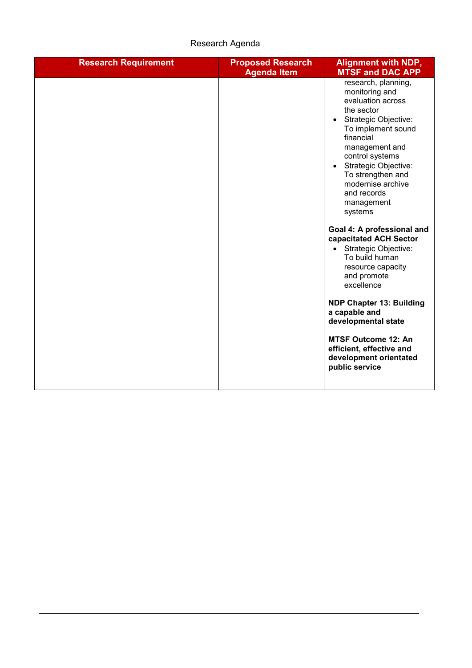| <b>Research Requirement</b> | <b>Proposed Research</b><br><b>Agenda Item</b> | <b>Alignment with NDP,</b><br><b>MTSF and DAC APP</b>                                                                                                                                                                                                                                                                                                                                                                                                                                                                                                                                                                                    |
|-----------------------------|------------------------------------------------|------------------------------------------------------------------------------------------------------------------------------------------------------------------------------------------------------------------------------------------------------------------------------------------------------------------------------------------------------------------------------------------------------------------------------------------------------------------------------------------------------------------------------------------------------------------------------------------------------------------------------------------|
|                             |                                                | research, planning,<br>monitoring and<br>evaluation across<br>the sector<br>Strategic Objective:<br>$\bullet$<br>To implement sound<br>financial<br>management and<br>control systems<br>• Strategic Objective:<br>To strengthen and<br>modernise archive<br>and records<br>management<br>systems<br>Goal 4: A professional and<br>capacitated ACH Sector<br>• Strategic Objective:<br>To build human<br>resource capacity<br>and promote<br>excellence<br><b>NDP Chapter 13: Building</b><br>a capable and<br>developmental state<br><b>MTSF Outcome 12: An</b><br>efficient, effective and<br>development orientated<br>public service |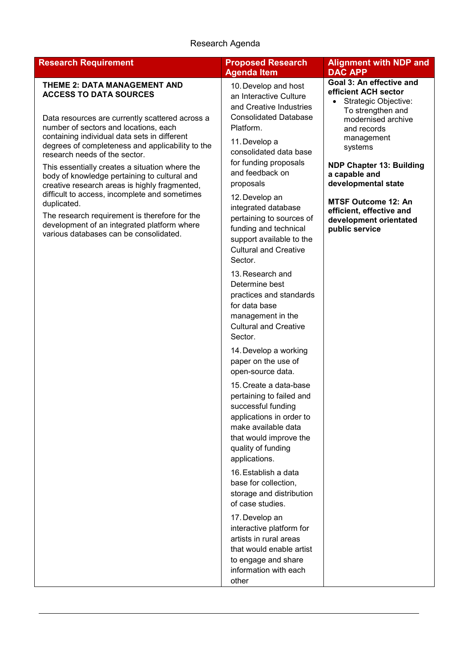| <b>Research Requirement</b>                                                                                                                                                                                                                                                                                                                                                                                                                                                                                                                                                                                                                                        | <b>Proposed Research</b><br><b>Agenda Item</b>                                                                                                                                                                                                                                                                                                                                                                                                                                                                                                                                                                                                                                                                                                                                                                                                                                                                                                                                                                                                                                      | <b>Alignment with NDP and</b><br><b>DAC APP</b>                                                                                                                                                                                                                                                                                              |
|--------------------------------------------------------------------------------------------------------------------------------------------------------------------------------------------------------------------------------------------------------------------------------------------------------------------------------------------------------------------------------------------------------------------------------------------------------------------------------------------------------------------------------------------------------------------------------------------------------------------------------------------------------------------|-------------------------------------------------------------------------------------------------------------------------------------------------------------------------------------------------------------------------------------------------------------------------------------------------------------------------------------------------------------------------------------------------------------------------------------------------------------------------------------------------------------------------------------------------------------------------------------------------------------------------------------------------------------------------------------------------------------------------------------------------------------------------------------------------------------------------------------------------------------------------------------------------------------------------------------------------------------------------------------------------------------------------------------------------------------------------------------|----------------------------------------------------------------------------------------------------------------------------------------------------------------------------------------------------------------------------------------------------------------------------------------------------------------------------------------------|
| <b>THEME 2: DATA MANAGEMENT AND</b><br><b>ACCESS TO DATA SOURCES</b><br>Data resources are currently scattered across a<br>number of sectors and locations, each<br>containing individual data sets in different<br>degrees of completeness and applicability to the<br>research needs of the sector.<br>This essentially creates a situation where the<br>body of knowledge pertaining to cultural and<br>creative research areas is highly fragmented,<br>difficult to access, incomplete and sometimes<br>duplicated.<br>The research requirement is therefore for the<br>development of an integrated platform where<br>various databases can be consolidated. | 10. Develop and host<br>an Interactive Culture<br>and Creative Industries<br><b>Consolidated Database</b><br>Platform.<br>11. Develop a<br>consolidated data base<br>for funding proposals<br>and feedback on<br>proposals<br>12. Develop an<br>integrated database<br>pertaining to sources of<br>funding and technical<br>support available to the<br><b>Cultural and Creative</b><br>Sector.<br>13. Research and<br>Determine best<br>practices and standards<br>for data base<br>management in the<br><b>Cultural and Creative</b><br>Sector.<br>14. Develop a working<br>paper on the use of<br>open-source data.<br>15. Create a data-base<br>pertaining to failed and<br>successful funding<br>applications in order to<br>make available data<br>that would improve the<br>quality of funding<br>applications.<br>16. Establish a data<br>base for collection,<br>storage and distribution<br>of case studies.<br>17. Develop an<br>interactive platform for<br>artists in rural areas<br>that would enable artist<br>to engage and share<br>information with each<br>other | Goal 3: An effective and<br>efficient ACH sector<br>Strategic Objective:<br>To strengthen and<br>modernised archive<br>and records<br>management<br>systems<br><b>NDP Chapter 13: Building</b><br>a capable and<br>developmental state<br><b>MTSF Outcome 12: An</b><br>efficient, effective and<br>development orientated<br>public service |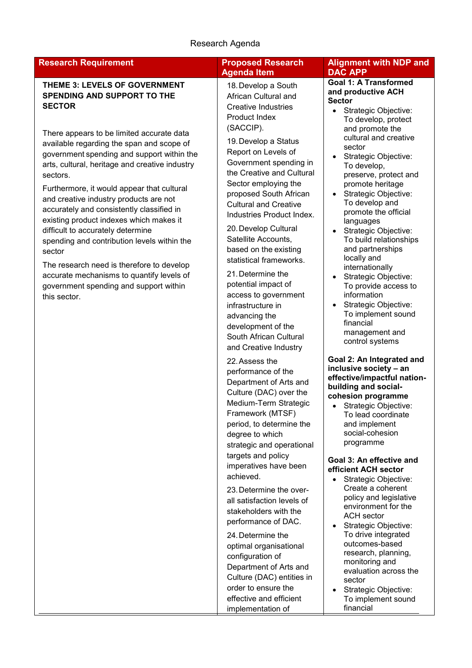#### **Research Requirement Proposed Research**

#### **THEME 3: LEVELS OF GOVERNMENT SPENDING AND SUPPORT TO THE SECTOR**

There appears to be limited accurate data available regarding the span and scope of government spending and support within the arts, cultural, heritage and creative industry sectors.

Furthermore, it would appear that cultural and creative industry products are not accurately and consistently classified in existing product indexes which makes it difficult to accurately determine spending and contribution levels within the sector

The research need is therefore to develop accurate mechanisms to quantify levels of government spending and support within this sector.

# **Agenda Item**

18.Develop a South African Cultural and Creative Industries Product Index (SACCIP).

19.Develop a Status Report on Levels of Government spending in the Creative and Cultural Sector employing the proposed South African Cultural and Creative Industries Product Index.

20.Develop Cultural Satellite Accounts, based on the existing statistical frameworks.

21.Determine the potential impact of access to government infrastructure in advancing the development of the South African Cultural and Creative Industry

22.Assess the performance of the Department of Arts and Culture (DAC) over the Medium-Term Strategic Framework (MTSF) period, to determine the degree to which strategic and operational targets and policy imperatives have been achieved.

23.Determine the overall satisfaction levels of stakeholders with the performance of DAC.

24.Determine the optimal organisational configuration of Department of Arts and Culture (DAC) entities in order to ensure the effective and efficient implementation of

#### **Alignment with NDP and DAC APP**

#### **Goal 1: A Transformed and productive ACH Sector**

- Strategic Objective: To develop, protect and promote the cultural and creative sector
- Strategic Objective: To develop, preserve, protect and promote heritage
- Strategic Objective: To develop and promote the official languages
- Strategic Objective: To build relationships and partnerships locally and internationally
- Strategic Objective: To provide access to information
- Strategic Objective: To implement sound financial management and control systems

**Goal 2: An Integrated and inclusive society – an effective/impactful nationbuilding and socialcohesion programme**

• Strategic Objective: To lead coordinate and implement social-cohesion programme

#### **Goal 3: An effective and efficient ACH sector**

- Strategic Objective: Create a coherent policy and legislative environment for the ACH sector
- Strategic Objective: To drive integrated outcomes-based research, planning, monitoring and evaluation across the sector
- Strategic Objective: To implement sound financial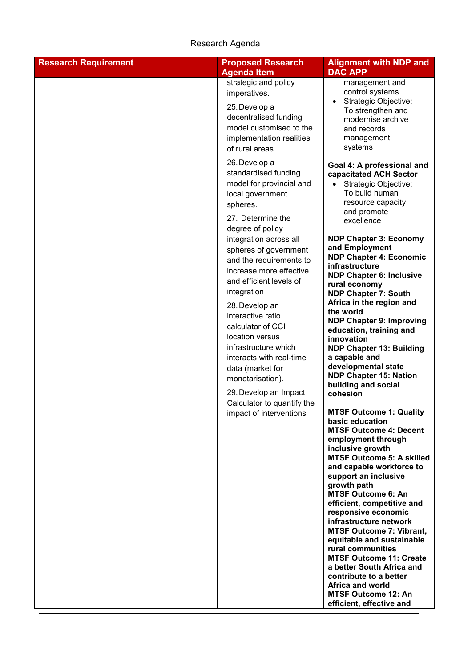| <b>Research Requirement</b> | <b>Proposed Research</b>                                                                                                                                                                      | <b>Alignment with NDP and</b>                                                                                                                                                                       |
|-----------------------------|-----------------------------------------------------------------------------------------------------------------------------------------------------------------------------------------------|-----------------------------------------------------------------------------------------------------------------------------------------------------------------------------------------------------|
|                             | <b>Agenda Item</b>                                                                                                                                                                            | <b>DAC APP</b>                                                                                                                                                                                      |
|                             | strategic and policy                                                                                                                                                                          | management and                                                                                                                                                                                      |
|                             | imperatives.                                                                                                                                                                                  | control systems                                                                                                                                                                                     |
|                             | 25. Develop a                                                                                                                                                                                 | Strategic Objective:<br>To strengthen and                                                                                                                                                           |
|                             | decentralised funding                                                                                                                                                                         | modernise archive                                                                                                                                                                                   |
|                             | model customised to the                                                                                                                                                                       | and records                                                                                                                                                                                         |
|                             | implementation realities                                                                                                                                                                      | management                                                                                                                                                                                          |
|                             | of rural areas                                                                                                                                                                                | systems                                                                                                                                                                                             |
|                             | 26. Develop a<br>standardised funding<br>model for provincial and<br>local government<br>spheres.<br>27. Determine the<br>degree of policy<br>integration across all<br>spheres of government | Goal 4: A professional and<br>capacitated ACH Sector<br>Strategic Objective:<br>To build human<br>resource capacity<br>and promote<br>excellence<br><b>NDP Chapter 3: Economy</b><br>and Employment |
|                             | and the requirements to                                                                                                                                                                       | <b>NDP Chapter 4: Economic</b>                                                                                                                                                                      |
|                             | increase more effective                                                                                                                                                                       | infrastructure                                                                                                                                                                                      |
|                             | and efficient levels of                                                                                                                                                                       | <b>NDP Chapter 6: Inclusive</b>                                                                                                                                                                     |
|                             | integration                                                                                                                                                                                   | rural economy<br><b>NDP Chapter 7: South</b>                                                                                                                                                        |
|                             | 28. Develop an                                                                                                                                                                                | Africa in the region and                                                                                                                                                                            |
|                             | interactive ratio                                                                                                                                                                             | the world                                                                                                                                                                                           |
|                             | calculator of CCI                                                                                                                                                                             | <b>NDP Chapter 9: Improving</b>                                                                                                                                                                     |
|                             | location versus                                                                                                                                                                               | education, training and<br>innovation                                                                                                                                                               |
|                             | infrastructure which                                                                                                                                                                          | <b>NDP Chapter 13: Building</b>                                                                                                                                                                     |
|                             | interacts with real-time                                                                                                                                                                      | a capable and                                                                                                                                                                                       |
|                             | data (market for                                                                                                                                                                              | developmental state                                                                                                                                                                                 |
|                             | monetarisation).                                                                                                                                                                              | <b>NDP Chapter 15: Nation</b><br>building and social                                                                                                                                                |
|                             | 29. Develop an Impact                                                                                                                                                                         | cohesion                                                                                                                                                                                            |
|                             | Calculator to quantify the                                                                                                                                                                    |                                                                                                                                                                                                     |
|                             | impact of interventions                                                                                                                                                                       | <b>MTSF Outcome 1: Quality</b><br>basic education                                                                                                                                                   |
|                             |                                                                                                                                                                                               | <b>MTSF Outcome 4: Decent</b>                                                                                                                                                                       |
|                             |                                                                                                                                                                                               | employment through                                                                                                                                                                                  |
|                             |                                                                                                                                                                                               | inclusive growth                                                                                                                                                                                    |
|                             |                                                                                                                                                                                               | <b>MTSF Outcome 5: A skilled</b><br>and capable workforce to                                                                                                                                        |
|                             |                                                                                                                                                                                               | support an inclusive                                                                                                                                                                                |
|                             |                                                                                                                                                                                               | growth path                                                                                                                                                                                         |
|                             |                                                                                                                                                                                               | <b>MTSF Outcome 6: An</b><br>efficient, competitive and                                                                                                                                             |
|                             |                                                                                                                                                                                               | responsive economic                                                                                                                                                                                 |
|                             |                                                                                                                                                                                               | infrastructure network                                                                                                                                                                              |
|                             |                                                                                                                                                                                               | <b>MTSF Outcome 7: Vibrant,</b><br>equitable and sustainable                                                                                                                                        |
|                             |                                                                                                                                                                                               | rural communities                                                                                                                                                                                   |
|                             |                                                                                                                                                                                               | <b>MTSF Outcome 11: Create</b>                                                                                                                                                                      |
|                             |                                                                                                                                                                                               | a better South Africa and                                                                                                                                                                           |
|                             |                                                                                                                                                                                               | contribute to a better<br>Africa and world                                                                                                                                                          |
|                             |                                                                                                                                                                                               | <b>MTSF Outcome 12: An</b>                                                                                                                                                                          |
|                             |                                                                                                                                                                                               | efficient, effective and                                                                                                                                                                            |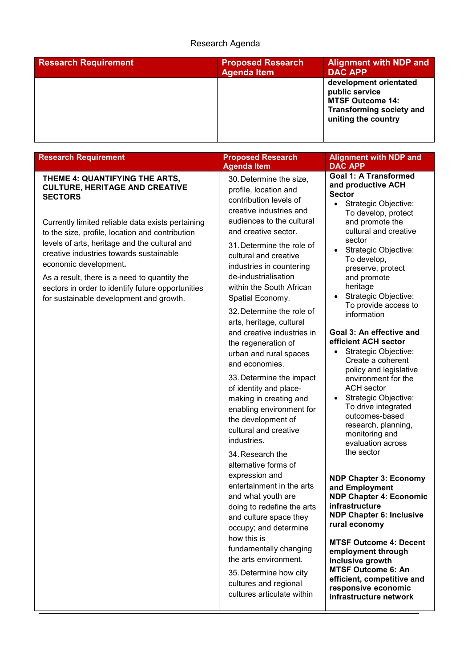| <b>Research Requirement</b> | <b>Proposed Research</b><br><b>Agenda Item</b> | <b>Alignment with NDP and</b><br><b>DAC APP</b>                                                                               |
|-----------------------------|------------------------------------------------|-------------------------------------------------------------------------------------------------------------------------------|
|                             |                                                | development orientated<br>public service<br><b>MTSF Outcome 14:</b><br><b>Transforming society and</b><br>uniting the country |

| <b>Research Requirement</b>                                                                                                                                                                                                                                                                                                                                               | <b>Proposed Research</b><br><b>Agenda Item</b>                                                                                                                                                                                                                                              | <b>Alignment with NDP and</b><br><b>DAC APP</b>                                                                                                                                                                                                                                                                               |
|---------------------------------------------------------------------------------------------------------------------------------------------------------------------------------------------------------------------------------------------------------------------------------------------------------------------------------------------------------------------------|---------------------------------------------------------------------------------------------------------------------------------------------------------------------------------------------------------------------------------------------------------------------------------------------|-------------------------------------------------------------------------------------------------------------------------------------------------------------------------------------------------------------------------------------------------------------------------------------------------------------------------------|
| THEME 4: QUANTIFYING THE ARTS,<br><b>CULTURE, HERITAGE AND CREATIVE</b><br><b>SECTORS</b>                                                                                                                                                                                                                                                                                 | 30. Determine the size,<br>profile, location and<br>contribution levels of<br>creative industries and                                                                                                                                                                                       | <b>Goal 1: A Transformed</b><br>and productive ACH<br><b>Sector</b><br>Strategic Objective:<br>$\bullet$<br>To develop, protect                                                                                                                                                                                               |
| Currently limited reliable data exists pertaining<br>to the size, profile, location and contribution<br>levels of arts, heritage and the cultural and<br>creative industries towards sustainable<br>economic development.<br>As a result, there is a need to quantity the<br>sectors in order to identify future opportunities<br>for sustainable development and growth. | audiences to the cultural<br>and creative sector.<br>31. Determine the role of<br>cultural and creative<br>industries in countering<br>de-industrialisation<br>within the South African<br>Spatial Economy.<br>32. Determine the role of<br>arts, heritage, cultural                        | and promote the<br>cultural and creative<br>sector<br>Strategic Objective:<br>$\bullet$<br>To develop,<br>preserve, protect<br>and promote<br>heritage<br>Strategic Objective:<br>To provide access to<br>information                                                                                                         |
|                                                                                                                                                                                                                                                                                                                                                                           | and creative industries in<br>the regeneration of<br>urban and rural spaces<br>and economies.<br>33. Determine the impact<br>of identity and place-<br>making in creating and<br>enabling environment for<br>the development of<br>cultural and creative<br>industries.<br>34. Research the | Goal 3: An effective and<br>efficient ACH sector<br>Strategic Objective:<br>$\bullet$<br>Create a coherent<br>policy and legislative<br>environment for the<br><b>ACH</b> sector<br>Strategic Objective:<br>To drive integrated<br>outcomes-based<br>research, planning,<br>monitoring and<br>evaluation across<br>the sector |
|                                                                                                                                                                                                                                                                                                                                                                           | alternative forms of<br>expression and<br>entertainment in the arts<br>and what youth are<br>doing to redefine the arts<br>and culture space they<br>occupy; and determine<br>how this is                                                                                                   | <b>NDP Chapter 3: Economy</b><br>and Employment<br><b>NDP Chapter 4: Economic</b><br>infrastructure<br><b>NDP Chapter 6: Inclusive</b><br>rural economy                                                                                                                                                                       |
|                                                                                                                                                                                                                                                                                                                                                                           | fundamentally changing<br>the arts environment.<br>35. Determine how city<br>cultures and regional<br>cultures articulate within                                                                                                                                                            | <b>MTSF Outcome 4: Decent</b><br>employment through<br>inclusive growth<br><b>MTSF Outcome 6: An</b><br>efficient, competitive and<br>responsive economic<br>infrastructure network                                                                                                                                           |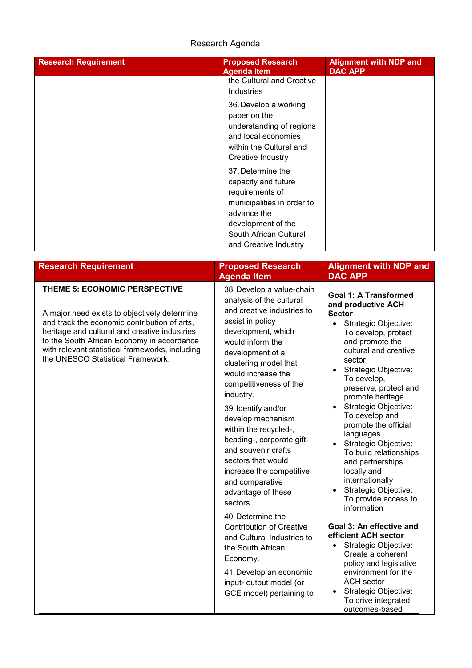| <b>Research Requirement</b> | <b>Proposed Research</b><br><b>Agenda Item</b>                                                                                                                                    | <b>Alignment with NDP and</b><br><b>DAC APP</b> |
|-----------------------------|-----------------------------------------------------------------------------------------------------------------------------------------------------------------------------------|-------------------------------------------------|
|                             | the Cultural and Creative<br><b>Industries</b>                                                                                                                                    |                                                 |
|                             | 36. Develop a working<br>paper on the<br>understanding of regions<br>and local economies<br>within the Cultural and<br>Creative Industry                                          |                                                 |
|                             | 37. Determine the<br>capacity and future<br>requirements of<br>municipalities in order to<br>advance the<br>development of the<br>South African Cultural<br>and Creative Industry |                                                 |

| <b>Research Requirement</b>                                                                                                                                                                                                                                                                                          | <b>Proposed Research</b><br><b>Agenda Item</b>                                                                                                                                                                                                                                                                                                                                                                                                                                                                                                                                                                                                                                                       | <b>Alignment with NDP and</b><br><b>DAC APP</b>                                                                                                                                                                                                                                                                                                                                                                                                                                                                                                                                                                                                                                                                                                                                                                                          |
|----------------------------------------------------------------------------------------------------------------------------------------------------------------------------------------------------------------------------------------------------------------------------------------------------------------------|------------------------------------------------------------------------------------------------------------------------------------------------------------------------------------------------------------------------------------------------------------------------------------------------------------------------------------------------------------------------------------------------------------------------------------------------------------------------------------------------------------------------------------------------------------------------------------------------------------------------------------------------------------------------------------------------------|------------------------------------------------------------------------------------------------------------------------------------------------------------------------------------------------------------------------------------------------------------------------------------------------------------------------------------------------------------------------------------------------------------------------------------------------------------------------------------------------------------------------------------------------------------------------------------------------------------------------------------------------------------------------------------------------------------------------------------------------------------------------------------------------------------------------------------------|
| THEME 5: ECONOMIC PERSPECTIVE<br>A major need exists to objectively determine<br>and track the economic contribution of arts,<br>heritage and cultural and creative industries<br>to the South African Economy in accordance<br>with relevant statistical frameworks, including<br>the UNESCO Statistical Framework. | 38. Develop a value-chain<br>analysis of the cultural<br>and creative industries to<br>assist in policy<br>development, which<br>would inform the<br>development of a<br>clustering model that<br>would increase the<br>competitiveness of the<br>industry.<br>39. Identify and/or<br>develop mechanism<br>within the recycled-,<br>beading-, corporate gift-<br>and souvenir crafts<br>sectors that would<br>increase the competitive<br>and comparative<br>advantage of these<br>sectors.<br>40. Determine the<br><b>Contribution of Creative</b><br>and Cultural Industries to<br>the South African<br>Economy.<br>41. Develop an economic<br>input- output model (or<br>GCE model) pertaining to | <b>Goal 1: A Transformed</b><br>and productive ACH<br><b>Sector</b><br>Strategic Objective:<br>$\bullet$<br>To develop, protect<br>and promote the<br>cultural and creative<br>sector<br>Strategic Objective:<br>$\bullet$<br>To develop,<br>preserve, protect and<br>promote heritage<br>Strategic Objective:<br>$\bullet$<br>To develop and<br>promote the official<br>languages<br>Strategic Objective:<br>$\bullet$<br>To build relationships<br>and partnerships<br>locally and<br>internationally<br>Strategic Objective:<br>$\bullet$<br>To provide access to<br>information<br>Goal 3: An effective and<br>efficient ACH sector<br>Strategic Objective:<br>Create a coherent<br>policy and legislative<br>environment for the<br><b>ACH</b> sector<br>Strategic Objective:<br>$\bullet$<br>To drive integrated<br>outcomes-based |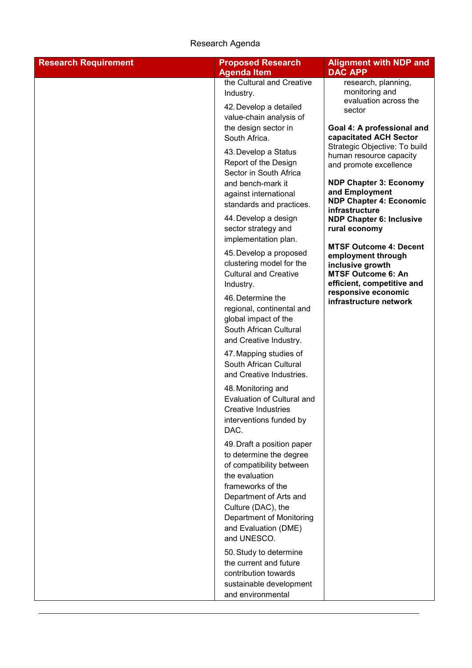| <b>Research Requirement</b> | <b>Proposed Research</b><br><b>Agenda Item</b>                                                                                                                                                                                                                   | <b>Alignment with NDP and</b><br><b>DAC APP</b>                                                                                                                                                                                                                                                       |
|-----------------------------|------------------------------------------------------------------------------------------------------------------------------------------------------------------------------------------------------------------------------------------------------------------|-------------------------------------------------------------------------------------------------------------------------------------------------------------------------------------------------------------------------------------------------------------------------------------------------------|
|                             | the Cultural and Creative<br>Industry.<br>42. Develop a detailed<br>value-chain analysis of                                                                                                                                                                      | research, planning,<br>monitoring and<br>evaluation across the<br>sector                                                                                                                                                                                                                              |
|                             | the design sector in<br>South Africa.<br>43. Develop a Status<br>Report of the Design<br>Sector in South Africa<br>and bench-mark it<br>against international<br>standards and practices.<br>44. Develop a design<br>sector strategy and<br>implementation plan. | Goal 4: A professional and<br>capacitated ACH Sector<br>Strategic Objective: To build<br>human resource capacity<br>and promote excellence<br><b>NDP Chapter 3: Economy</b><br>and Employment<br><b>NDP Chapter 4: Economic</b><br>infrastructure<br><b>NDP Chapter 6: Inclusive</b><br>rural economy |
|                             | 45. Develop a proposed<br>clustering model for the<br><b>Cultural and Creative</b><br>Industry.<br>46. Determine the<br>regional, continental and<br>global impact of the<br>South African Cultural<br>and Creative Industry.                                    | <b>MTSF Outcome 4: Decent</b><br>employment through<br>inclusive growth<br><b>MTSF Outcome 6: An</b><br>efficient, competitive and<br>responsive economic<br>infrastructure network                                                                                                                   |
|                             | 47. Mapping studies of<br>South African Cultural<br>and Creative Industries.                                                                                                                                                                                     |                                                                                                                                                                                                                                                                                                       |
|                             | 48. Monitoring and<br><b>Evaluation of Cultural and</b><br><b>Creative Industries</b><br>interventions funded by<br>DAC.                                                                                                                                         |                                                                                                                                                                                                                                                                                                       |
|                             | 49. Draft a position paper<br>to determine the degree<br>of compatibility between<br>the evaluation<br>frameworks of the<br>Department of Arts and<br>Culture (DAC), the<br>Department of Monitoring<br>and Evaluation (DME)<br>and UNESCO.                      |                                                                                                                                                                                                                                                                                                       |
|                             | 50. Study to determine<br>the current and future<br>contribution towards<br>sustainable development<br>and environmental                                                                                                                                         |                                                                                                                                                                                                                                                                                                       |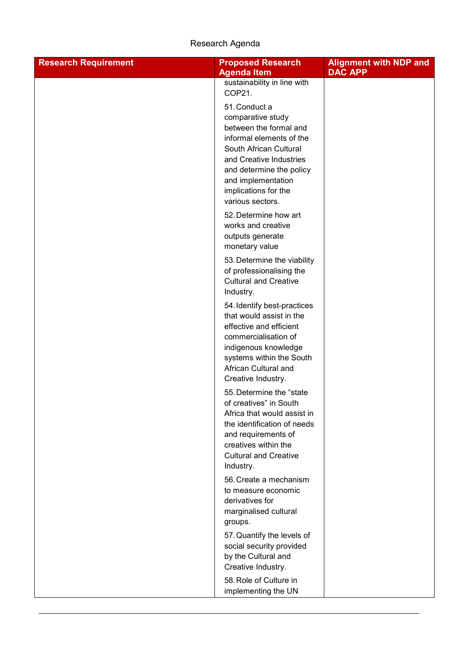| <b>Research Requirement</b> | <b>Proposed Research</b>                                | <b>Alignment with NDP and</b> |
|-----------------------------|---------------------------------------------------------|-------------------------------|
|                             | <b>Agenda Item</b>                                      | <b>DAC APP</b>                |
|                             | sustainability in line with                             |                               |
|                             | COP21.                                                  |                               |
|                             | 51. Conduct a<br>comparative study                      |                               |
|                             | between the formal and                                  |                               |
|                             | informal elements of the                                |                               |
|                             | South African Cultural                                  |                               |
|                             | and Creative Industries                                 |                               |
|                             | and determine the policy                                |                               |
|                             | and implementation                                      |                               |
|                             | implications for the                                    |                               |
|                             | various sectors.                                        |                               |
|                             | 52. Determine how art                                   |                               |
|                             | works and creative                                      |                               |
|                             | outputs generate<br>monetary value                      |                               |
|                             |                                                         |                               |
|                             | 53. Determine the viability<br>of professionalising the |                               |
|                             | <b>Cultural and Creative</b>                            |                               |
|                             | Industry.                                               |                               |
|                             | 54. Identify best-practices                             |                               |
|                             | that would assist in the                                |                               |
|                             | effective and efficient                                 |                               |
|                             | commercialisation of                                    |                               |
|                             | indigenous knowledge                                    |                               |
|                             | systems within the South                                |                               |
|                             | African Cultural and<br>Creative Industry.              |                               |
|                             | 55. Determine the "state                                |                               |
|                             | of creatives" in South                                  |                               |
|                             | Africa that would assist in                             |                               |
|                             | the identification of needs                             |                               |
|                             | and requirements of                                     |                               |
|                             | creatives within the                                    |                               |
|                             | <b>Cultural and Creative</b><br>Industry.               |                               |
|                             | 56. Create a mechanism                                  |                               |
|                             | to measure economic                                     |                               |
|                             | derivatives for                                         |                               |
|                             | marginalised cultural                                   |                               |
|                             | groups.                                                 |                               |
|                             | 57. Quantify the levels of                              |                               |
|                             | social security provided                                |                               |
|                             | by the Cultural and                                     |                               |
|                             | Creative Industry.                                      |                               |
|                             | 58. Role of Culture in                                  |                               |
|                             | implementing the UN                                     |                               |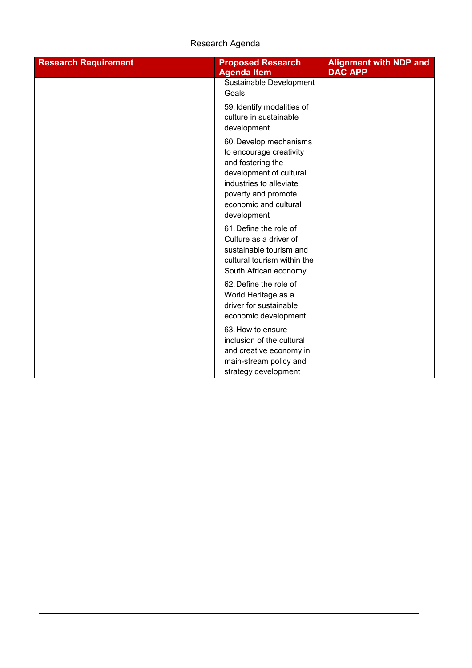| <b>Research Requirement</b> | <b>Proposed Research</b><br><b>Agenda Item</b>                                                                                                                                              | <b>Alignment with NDP and</b><br><b>DAC APP</b> |
|-----------------------------|---------------------------------------------------------------------------------------------------------------------------------------------------------------------------------------------|-------------------------------------------------|
|                             | Sustainable Development<br>Goals                                                                                                                                                            |                                                 |
|                             | 59. Identify modalities of<br>culture in sustainable<br>development                                                                                                                         |                                                 |
|                             | 60. Develop mechanisms<br>to encourage creativity<br>and fostering the<br>development of cultural<br>industries to alleviate<br>poverty and promote<br>economic and cultural<br>development |                                                 |
|                             | 61. Define the role of<br>Culture as a driver of<br>sustainable tourism and<br>cultural tourism within the<br>South African economy.                                                        |                                                 |
|                             | 62. Define the role of<br>World Heritage as a<br>driver for sustainable<br>economic development                                                                                             |                                                 |
|                             | 63. How to ensure<br>inclusion of the cultural<br>and creative economy in<br>main-stream policy and<br>strategy development                                                                 |                                                 |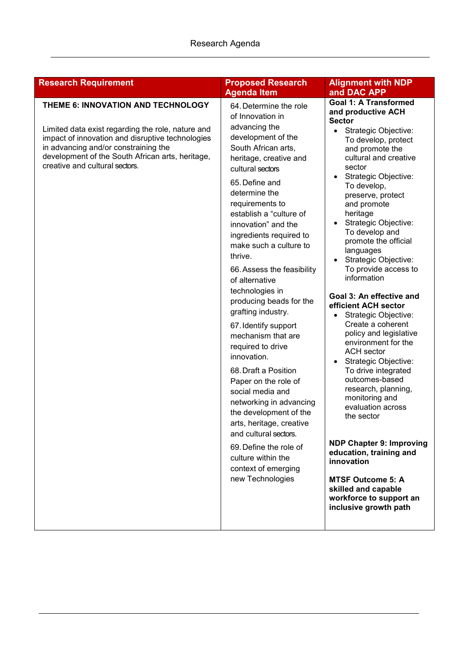| <b>Research Requirement</b>                                                                                                                                                                                                                                               | <b>Proposed Research</b>                                                                                                                                                                                                                                                                                                                                                                                                                                                                                                                                                                                                                                                                                                                                                                                      | <b>Alignment with NDP</b>                                                                                                                                                                                                                                                                                                                                                                                                                                                                                                                                                                                                                                                                                                                                                                                                                                                                                              |
|---------------------------------------------------------------------------------------------------------------------------------------------------------------------------------------------------------------------------------------------------------------------------|---------------------------------------------------------------------------------------------------------------------------------------------------------------------------------------------------------------------------------------------------------------------------------------------------------------------------------------------------------------------------------------------------------------------------------------------------------------------------------------------------------------------------------------------------------------------------------------------------------------------------------------------------------------------------------------------------------------------------------------------------------------------------------------------------------------|------------------------------------------------------------------------------------------------------------------------------------------------------------------------------------------------------------------------------------------------------------------------------------------------------------------------------------------------------------------------------------------------------------------------------------------------------------------------------------------------------------------------------------------------------------------------------------------------------------------------------------------------------------------------------------------------------------------------------------------------------------------------------------------------------------------------------------------------------------------------------------------------------------------------|
|                                                                                                                                                                                                                                                                           | <b>Agenda Item</b>                                                                                                                                                                                                                                                                                                                                                                                                                                                                                                                                                                                                                                                                                                                                                                                            | and DAC APP                                                                                                                                                                                                                                                                                                                                                                                                                                                                                                                                                                                                                                                                                                                                                                                                                                                                                                            |
| THEME 6: INNOVATION AND TECHNOLOGY<br>Limited data exist regarding the role, nature and<br>impact of innovation and disruptive technologies<br>in advancing and/or constraining the<br>development of the South African arts, heritage,<br>creative and cultural sectors. | 64. Determine the role<br>of Innovation in<br>advancing the<br>development of the<br>South African arts,<br>heritage, creative and<br>cultural sectors<br>65. Define and<br>determine the<br>requirements to<br>establish a "culture of<br>innovation" and the<br>ingredients required to<br>make such a culture to<br>thrive.<br>66. Assess the feasibility<br>of alternative<br>technologies in<br>producing beads for the<br>grafting industry.<br>67. Identify support<br>mechanism that are<br>required to drive<br>innovation.<br>68. Draft a Position<br>Paper on the role of<br>social media and<br>networking in advancing<br>the development of the<br>arts, heritage, creative<br>and cultural sectors.<br>69. Define the role of<br>culture within the<br>context of emerging<br>new Technologies | <b>Goal 1: A Transformed</b><br>and productive ACH<br><b>Sector</b><br>Strategic Objective:<br>To develop, protect<br>and promote the<br>cultural and creative<br>sector<br>• Strategic Objective:<br>To develop,<br>preserve, protect<br>and promote<br>heritage<br>Strategic Objective:<br>To develop and<br>promote the official<br>languages<br>Strategic Objective:<br>To provide access to<br>information<br>Goal 3: An effective and<br>efficient ACH sector<br>Strategic Objective:<br>Create a coherent<br>policy and legislative<br>environment for the<br><b>ACH</b> sector<br>Strategic Objective:<br>To drive integrated<br>outcomes-based<br>research, planning,<br>monitoring and<br>evaluation across<br>the sector<br><b>NDP Chapter 9: Improving</b><br>education, training and<br>innovation<br><b>MTSF Outcome 5: A</b><br>skilled and capable<br>workforce to support an<br>inclusive growth path |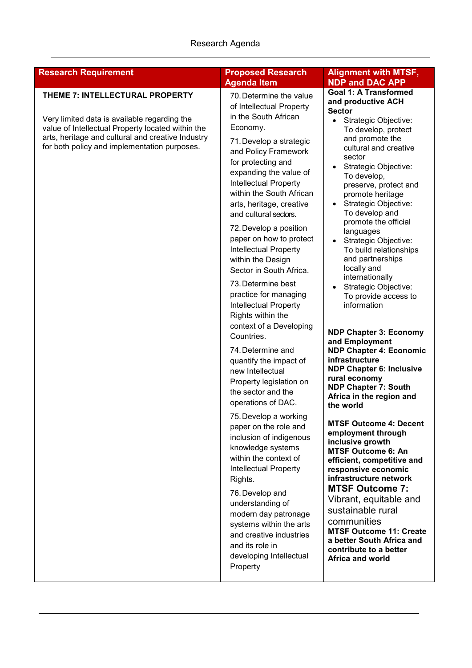| <b>Research Requirement</b>                                                                                                                                                                                                               | <b>Proposed Research</b>                                                                                                                                                                                                                                                                                                                                                                                                                                                                                                                                                                                                                                                                                                                                                                                                                                                                                                                                                                                                                                                                 | <b>Alignment with MTSF,</b>                                                                                                                                                                                                                                                                                                                                                                                                                                                                                                                                                                                                                                                                                                                                                                                                                                                                                                                                                                                                                                                                                                                                                              |
|-------------------------------------------------------------------------------------------------------------------------------------------------------------------------------------------------------------------------------------------|------------------------------------------------------------------------------------------------------------------------------------------------------------------------------------------------------------------------------------------------------------------------------------------------------------------------------------------------------------------------------------------------------------------------------------------------------------------------------------------------------------------------------------------------------------------------------------------------------------------------------------------------------------------------------------------------------------------------------------------------------------------------------------------------------------------------------------------------------------------------------------------------------------------------------------------------------------------------------------------------------------------------------------------------------------------------------------------|------------------------------------------------------------------------------------------------------------------------------------------------------------------------------------------------------------------------------------------------------------------------------------------------------------------------------------------------------------------------------------------------------------------------------------------------------------------------------------------------------------------------------------------------------------------------------------------------------------------------------------------------------------------------------------------------------------------------------------------------------------------------------------------------------------------------------------------------------------------------------------------------------------------------------------------------------------------------------------------------------------------------------------------------------------------------------------------------------------------------------------------------------------------------------------------|
| THEME 7: INTELLECTURAL PROPERTY<br>Very limited data is available regarding the<br>value of Intellectual Property located within the<br>arts, heritage and cultural and creative Industry<br>for both policy and implementation purposes. | <b>Agenda Item</b><br>70. Determine the value<br>of Intellectual Property<br>in the South African<br>Economy.<br>71. Develop a strategic<br>and Policy Framework<br>for protecting and<br>expanding the value of<br><b>Intellectual Property</b><br>within the South African<br>arts, heritage, creative<br>and cultural sectors.<br>72. Develop a position<br>paper on how to protect<br>Intellectual Property<br>within the Design<br>Sector in South Africa.<br>73. Determine best<br>practice for managing<br>Intellectual Property<br>Rights within the<br>context of a Developing<br>Countries.<br>74. Determine and<br>quantify the impact of<br>new Intellectual<br>Property legislation on<br>the sector and the<br>operations of DAC.<br>75. Develop a working<br>paper on the role and<br>inclusion of indigenous<br>knowledge systems<br>within the context of<br><b>Intellectual Property</b><br>Rights.<br>76. Develop and<br>understanding of<br>modern day patronage<br>systems within the arts<br>and creative industries<br>and its role in<br>developing Intellectual | <b>NDP and DAC APP</b><br><b>Goal 1: A Transformed</b><br>and productive ACH<br><b>Sector</b><br>Strategic Objective:<br>$\bullet$<br>To develop, protect<br>and promote the<br>cultural and creative<br>sector<br>Strategic Objective:<br>To develop,<br>preserve, protect and<br>promote heritage<br>Strategic Objective:<br>To develop and<br>promote the official<br>languages<br>Strategic Objective:<br>To build relationships<br>and partnerships<br>locally and<br>internationally<br>Strategic Objective:<br>To provide access to<br>information<br><b>NDP Chapter 3: Economy</b><br>and Employment<br><b>NDP Chapter 4: Economic</b><br>infrastructure<br><b>NDP Chapter 6: Inclusive</b><br>rural economy<br><b>NDP Chapter 7: South</b><br>Africa in the region and<br>the world<br><b>MTSF Outcome 4: Decent</b><br>employment through<br>inclusive growth<br><b>MTSF Outcome 6: An</b><br>efficient, competitive and<br>responsive economic<br>infrastructure network<br><b>MTSF Outcome 7:</b><br>Vibrant, equitable and<br>sustainable rural<br>communities<br><b>MTSF Outcome 11: Create</b><br>a better South Africa and<br>contribute to a better<br>Africa and world |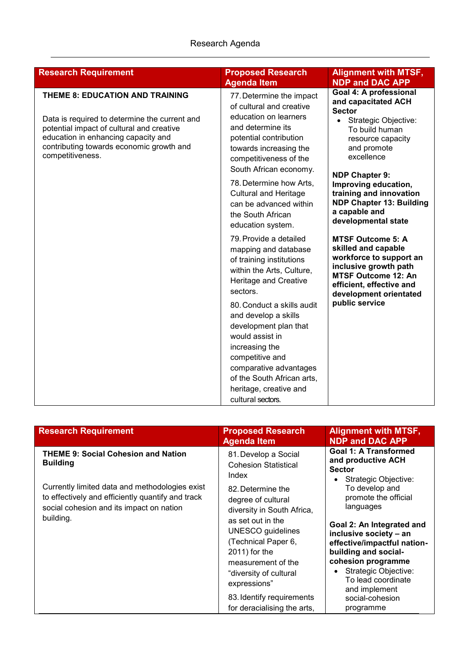| <b>Research Requirement</b>                                                                                                                                                                                                          | <b>Proposed Research</b><br><b>Agenda Item</b>                                                                                                                                                                                             | <b>Alignment with MTSF,</b><br><b>NDP and DAC APP</b>                                                                                                                                   |
|--------------------------------------------------------------------------------------------------------------------------------------------------------------------------------------------------------------------------------------|--------------------------------------------------------------------------------------------------------------------------------------------------------------------------------------------------------------------------------------------|-----------------------------------------------------------------------------------------------------------------------------------------------------------------------------------------|
| THEME 8: EDUCATION AND TRAINING<br>Data is required to determine the current and<br>potential impact of cultural and creative<br>education in enhancing capacity and<br>contributing towards economic growth and<br>competitiveness. | 77. Determine the impact<br>of cultural and creative<br>education on learners<br>and determine its<br>potential contribution<br>towards increasing the<br>competitiveness of the                                                           | Goal 4: A professional<br>and capacitated ACH<br><b>Sector</b><br>• Strategic Objective:<br>To build human<br>resource capacity<br>and promote<br>excellence                            |
|                                                                                                                                                                                                                                      | South African economy.<br>78. Determine how Arts,<br><b>Cultural and Heritage</b><br>can be advanced within<br>the South African<br>education system.                                                                                      | <b>NDP Chapter 9:</b><br>Improving education,<br>training and innovation<br><b>NDP Chapter 13: Building</b><br>a capable and<br>developmental state                                     |
|                                                                                                                                                                                                                                      | 79. Provide a detailed<br>mapping and database<br>of training institutions<br>within the Arts, Culture,<br>Heritage and Creative<br>sectors.                                                                                               | <b>MTSF Outcome 5: A</b><br>skilled and capable<br>workforce to support an<br>inclusive growth path<br><b>MTSF Outcome 12: An</b><br>efficient, effective and<br>development orientated |
|                                                                                                                                                                                                                                      | 80. Conduct a skills audit<br>and develop a skills<br>development plan that<br>would assist in<br>increasing the<br>competitive and<br>comparative advantages<br>of the South African arts,<br>heritage, creative and<br>cultural sectors. | public service                                                                                                                                                                          |

| <b>Research Requirement</b>                                                                                                                                  | <b>Proposed Research</b><br><b>Agenda Item</b>                                                                                                                                                                                                                                             | <b>Alignment with MTSF,</b><br><b>NDP and DAC APP</b>                                                                                                                                                                                                                                  |
|--------------------------------------------------------------------------------------------------------------------------------------------------------------|--------------------------------------------------------------------------------------------------------------------------------------------------------------------------------------------------------------------------------------------------------------------------------------------|----------------------------------------------------------------------------------------------------------------------------------------------------------------------------------------------------------------------------------------------------------------------------------------|
| <b>THEME 9: Social Cohesion and Nation</b><br><b>Building</b>                                                                                                | 81. Develop a Social<br><b>Cohesion Statistical</b><br>Index                                                                                                                                                                                                                               | <b>Goal 1: A Transformed</b><br>and productive ACH<br><b>Sector</b><br>Strategic Objective:<br>$\bullet$                                                                                                                                                                               |
| Currently limited data and methodologies exist<br>to effectively and efficiently quantify and track<br>social cohesion and its impact on nation<br>building. | 82. Determine the<br>degree of cultural<br>diversity in South Africa,<br>as set out in the<br><b>UNESCO</b> guidelines<br>(Technical Paper 6,<br>2011) for the<br>measurement of the<br>"diversity of cultural<br>expressions"<br>83. Identify requirements<br>for deracialising the arts, | To develop and<br>promote the official<br>languages<br>Goal 2: An Integrated and<br>inclusive society - an<br>effective/impactful nation-<br>building and social-<br>cohesion programme<br>Strategic Objective:<br>To lead coordinate<br>and implement<br>social-cohesion<br>programme |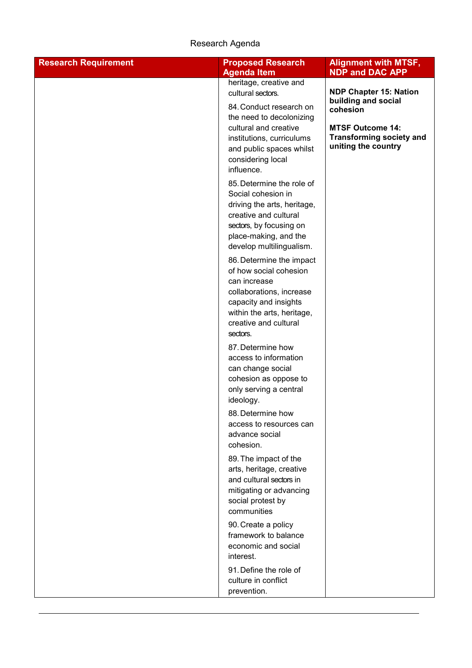| <b>Research Requirement</b> | <b>Proposed Research</b><br><b>Agenda Item</b>                                                                                                                                             | <b>Alignment with MTSF,</b><br><b>NDP and DAC APP</b>                                                                |
|-----------------------------|--------------------------------------------------------------------------------------------------------------------------------------------------------------------------------------------|----------------------------------------------------------------------------------------------------------------------|
|                             | heritage, creative and<br>cultural sectors.                                                                                                                                                | <b>NDP Chapter 15: Nation</b>                                                                                        |
|                             | 84. Conduct research on<br>the need to decolonizing<br>cultural and creative<br>institutions, curriculums<br>and public spaces whilst<br>considering local<br>influence.                   | building and social<br>cohesion<br><b>MTSF Outcome 14:</b><br><b>Transforming society and</b><br>uniting the country |
|                             | 85. Determine the role of<br>Social cohesion in<br>driving the arts, heritage,<br>creative and cultural<br>sectors, by focusing on<br>place-making, and the<br>develop multilingualism.    |                                                                                                                      |
|                             | 86. Determine the impact<br>of how social cohesion<br>can increase<br>collaborations, increase<br>capacity and insights<br>within the arts, heritage,<br>creative and cultural<br>sectors. |                                                                                                                      |
|                             | 87. Determine how<br>access to information<br>can change social<br>cohesion as oppose to<br>only serving a central<br>ideology.                                                            |                                                                                                                      |
|                             | 88. Determine how<br>access to resources can<br>advance social<br>cohesion.                                                                                                                |                                                                                                                      |
|                             | 89. The impact of the<br>arts, heritage, creative<br>and cultural sectors in<br>mitigating or advancing<br>social protest by<br>communities                                                |                                                                                                                      |
|                             | 90. Create a policy<br>framework to balance<br>economic and social<br>interest.                                                                                                            |                                                                                                                      |
|                             | 91. Define the role of<br>culture in conflict<br>prevention.                                                                                                                               |                                                                                                                      |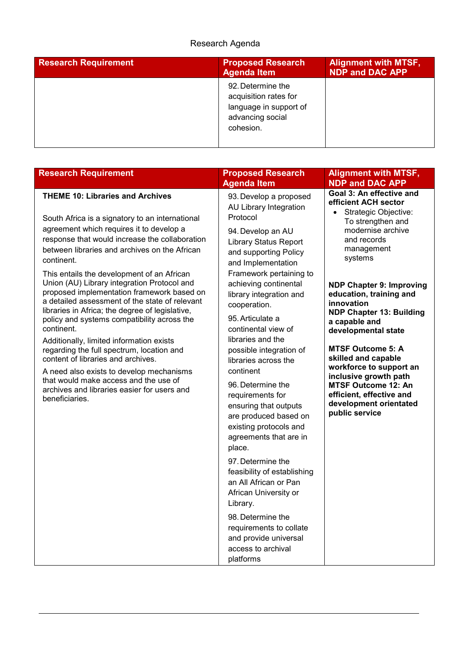| <b>Research Requirement</b> | <b>Proposed Research</b><br><b>Agenda Item</b>                                                        | <b>Alignment with MTSF,</b><br><b>NDP and DAC APP</b> |
|-----------------------------|-------------------------------------------------------------------------------------------------------|-------------------------------------------------------|
|                             | 92. Determine the<br>acquisition rates for<br>language in support of<br>advancing social<br>cohesion. |                                                       |

| <b>Research Requirement</b>                                                                                                                                                                                                                                                                                                                                                                                                                                                                                                                                                                                      | <b>Proposed Research</b>                                                                                                                                                                                                                                                                                                                              | <b>Alignment with MTSF,</b>                                                                                                                                                                                                                                                                                                                   |
|------------------------------------------------------------------------------------------------------------------------------------------------------------------------------------------------------------------------------------------------------------------------------------------------------------------------------------------------------------------------------------------------------------------------------------------------------------------------------------------------------------------------------------------------------------------------------------------------------------------|-------------------------------------------------------------------------------------------------------------------------------------------------------------------------------------------------------------------------------------------------------------------------------------------------------------------------------------------------------|-----------------------------------------------------------------------------------------------------------------------------------------------------------------------------------------------------------------------------------------------------------------------------------------------------------------------------------------------|
| <b>THEME 10: Libraries and Archives</b><br>South Africa is a signatory to an international<br>agreement which requires it to develop a<br>response that would increase the collaboration<br>between libraries and archives on the African<br>continent.<br>This entails the development of an African<br>Union (AU) Library integration Protocol and<br>proposed implementation framework based on<br>a detailed assessment of the state of relevant<br>libraries in Africa; the degree of legislative,<br>policy and systems compatibility across the<br>continent.<br>Additionally, limited information exists | <b>Agenda Item</b><br>93. Develop a proposed<br>AU Library Integration<br>Protocol<br>94. Develop an AU<br><b>Library Status Report</b><br>and supporting Policy<br>and Implementation<br>Framework pertaining to<br>achieving continental<br>library integration and<br>cooperation.<br>95. Articulate a<br>continental view of<br>libraries and the | <b>NDP and DAC APP</b><br>Goal 3: An effective and<br>efficient ACH sector<br>• Strategic Objective:<br>To strengthen and<br>modernise archive<br>and records<br>management<br>systems<br><b>NDP Chapter 9: Improving</b><br>education, training and<br>innovation<br><b>NDP Chapter 13: Building</b><br>a capable and<br>developmental state |
| regarding the full spectrum, location and<br>content of libraries and archives.<br>A need also exists to develop mechanisms<br>that would make access and the use of<br>archives and libraries easier for users and<br>beneficiaries.                                                                                                                                                                                                                                                                                                                                                                            | possible integration of<br>libraries across the<br>continent<br>96. Determine the<br>requirements for<br>ensuring that outputs<br>are produced based on<br>existing protocols and<br>agreements that are in<br>place.<br>97. Determine the<br>feasibility of establishing<br>an All African or Pan<br>African University or<br>Library.               | <b>MTSF Outcome 5: A</b><br>skilled and capable<br>workforce to support an<br>inclusive growth path<br><b>MTSF Outcome 12: An</b><br>efficient, effective and<br>development orientated<br>public service                                                                                                                                     |
|                                                                                                                                                                                                                                                                                                                                                                                                                                                                                                                                                                                                                  | 98. Determine the<br>requirements to collate<br>and provide universal<br>access to archival<br>platforms                                                                                                                                                                                                                                              |                                                                                                                                                                                                                                                                                                                                               |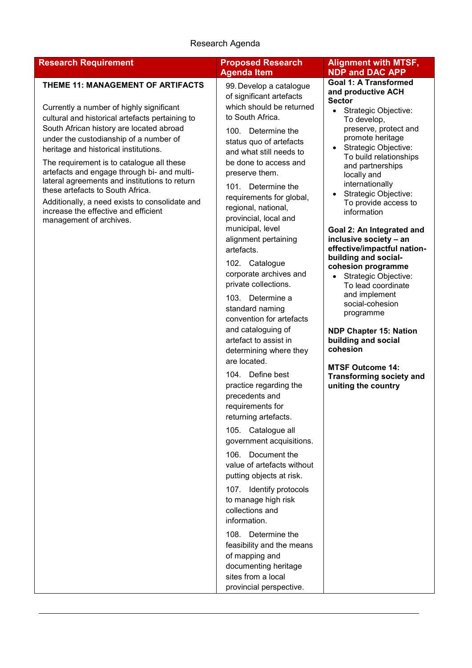| <b>Research Requirement</b>                                                                                                                                                                                                                                                                                                                                                                                                                                                                                                                                           | <b>Proposed Research</b>                                                                                                                                                                                                                                                                                                                                                                                     | <b>Alignment with MTSF,</b>                                                                                                                                                                                                                                                                                                                                                                                                                                                                      |
|-----------------------------------------------------------------------------------------------------------------------------------------------------------------------------------------------------------------------------------------------------------------------------------------------------------------------------------------------------------------------------------------------------------------------------------------------------------------------------------------------------------------------------------------------------------------------|--------------------------------------------------------------------------------------------------------------------------------------------------------------------------------------------------------------------------------------------------------------------------------------------------------------------------------------------------------------------------------------------------------------|--------------------------------------------------------------------------------------------------------------------------------------------------------------------------------------------------------------------------------------------------------------------------------------------------------------------------------------------------------------------------------------------------------------------------------------------------------------------------------------------------|
| THEME 11: MANAGEMENT OF ARTIFACTS<br>Currently a number of highly significant<br>cultural and historical artefacts pertaining to<br>South African history are located abroad<br>under the custodianship of a number of<br>heritage and historical institutions.<br>The requirement is to catalogue all these<br>artefacts and engage through bi- and multi-<br>lateral agreements and institutions to return<br>these artefacts to South Africa.<br>Additionally, a need exists to consolidate and<br>increase the effective and efficient<br>management of archives. | <b>Agenda Item</b><br>99. Develop a catalogue<br>of significant artefacts<br>which should be returned<br>to South Africa.<br>100. Determine the<br>status quo of artefacts<br>and what still needs to<br>be done to access and<br>preserve them.<br>101. Determine the<br>requirements for global,<br>regional, national,<br>provincial, local and<br>municipal, level<br>alignment pertaining<br>artefacts. | <b>NDP and DAC APP</b><br><b>Goal 1: A Transformed</b><br>and productive ACH<br><b>Sector</b><br>Strategic Objective:<br>$\bullet$<br>To develop,<br>preserve, protect and<br>promote heritage<br>Strategic Objective:<br>$\bullet$<br>To build relationships<br>and partnerships<br>locally and<br>internationally<br>Strategic Objective:<br>To provide access to<br>information<br>Goal 2: An Integrated and<br>inclusive society - an<br>effective/impactful nation-<br>building and social- |
|                                                                                                                                                                                                                                                                                                                                                                                                                                                                                                                                                                       | 102. Catalogue<br>corporate archives and<br>private collections.<br>103. Determine a<br>standard naming<br>convention for artefacts<br>and cataloguing of<br>artefact to assist in<br>determining where they<br>are located.<br>104. Define best<br>practice regarding the<br>precedents and<br>requirements for<br>returning artefacts.<br>105. Catalogue all                                               | cohesion programme<br>Strategic Objective:<br>To lead coordinate<br>and implement<br>social-cohesion<br>programme<br><b>NDP Chapter 15: Nation</b><br>building and social<br>cohesion<br><b>MTSF Outcome 14:</b><br><b>Transforming society and</b><br>uniting the country                                                                                                                                                                                                                       |
|                                                                                                                                                                                                                                                                                                                                                                                                                                                                                                                                                                       | government acquisitions.<br>106. Document the<br>value of artefacts without<br>putting objects at risk.<br>107. Identify protocols<br>to manage high risk<br>collections and<br>information.<br>108. Determine the<br>feasibility and the means<br>of mapping and<br>documenting heritage<br>sites from a local<br>provincial perspective.                                                                   |                                                                                                                                                                                                                                                                                                                                                                                                                                                                                                  |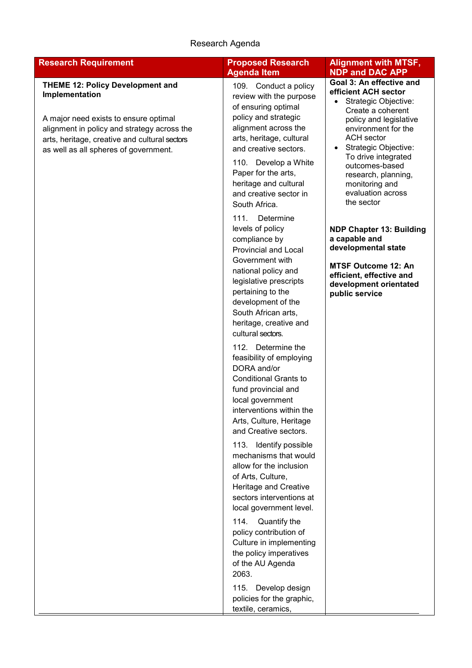| <b>Agenda Item</b><br>109. Conduct a policy                                                                                                                                                                                                                                                                                                                                                                                                                                                                                                                                                                                                                                                                                                                                                                                                                                          | <b>NDP and DAC APP</b><br>Goal 3: An effective and                                                                                                                                                                                                                                        |
|--------------------------------------------------------------------------------------------------------------------------------------------------------------------------------------------------------------------------------------------------------------------------------------------------------------------------------------------------------------------------------------------------------------------------------------------------------------------------------------------------------------------------------------------------------------------------------------------------------------------------------------------------------------------------------------------------------------------------------------------------------------------------------------------------------------------------------------------------------------------------------------|-------------------------------------------------------------------------------------------------------------------------------------------------------------------------------------------------------------------------------------------------------------------------------------------|
| review with the purpose<br>of ensuring optimal<br>policy and strategic<br>alignment across the<br>arts, heritage, cultural<br>and creative sectors.<br>110. Develop a White<br>Paper for the arts,<br>heritage and cultural<br>and creative sector in<br>South Africa.                                                                                                                                                                                                                                                                                                                                                                                                                                                                                                                                                                                                               | efficient ACH sector<br>Strategic Objective:<br>Create a coherent<br>policy and legislative<br>environment for the<br><b>ACH</b> sector<br>Strategic Objective:<br>٠<br>To drive integrated<br>outcomes-based<br>research, planning,<br>monitoring and<br>evaluation across<br>the sector |
| 111.<br>Determine<br>levels of policy<br>compliance by<br><b>Provincial and Local</b><br>Government with<br>national policy and<br>legislative prescripts<br>pertaining to the<br>development of the<br>South African arts,<br>heritage, creative and<br>cultural sectors.<br>112. Determine the<br>feasibility of employing<br>DORA and/or<br><b>Conditional Grants to</b><br>fund provincial and<br>local government<br>interventions within the<br>Arts, Culture, Heritage<br>and Creative sectors.<br>113. Identify possible<br>mechanisms that would<br>allow for the inclusion<br>of Arts, Culture,<br>Heritage and Creative<br>sectors interventions at<br>local government level.<br>Quantify the<br>114.<br>policy contribution of<br>Culture in implementing<br>the policy imperatives<br>of the AU Agenda<br>2063.<br>Develop design<br>115.<br>policies for the graphic, | <b>NDP Chapter 13: Building</b><br>a capable and<br>developmental state<br><b>MTSF Outcome 12: An</b><br>efficient, effective and<br>development orientated<br>public service                                                                                                             |
|                                                                                                                                                                                                                                                                                                                                                                                                                                                                                                                                                                                                                                                                                                                                                                                                                                                                                      | textile, ceramics,                                                                                                                                                                                                                                                                        |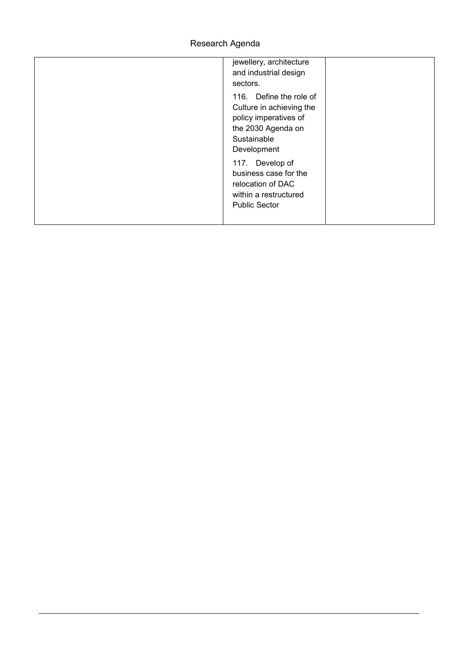| jewellery, architecture<br>and industrial design<br>sectors.                                                                     |
|----------------------------------------------------------------------------------------------------------------------------------|
| 116. Define the role of<br>Culture in achieving the<br>policy imperatives of<br>the 2030 Agenda on<br>Sustainable<br>Development |
| 117. Develop of<br>business case for the<br>relocation of DAC<br>within a restructured<br><b>Public Sector</b>                   |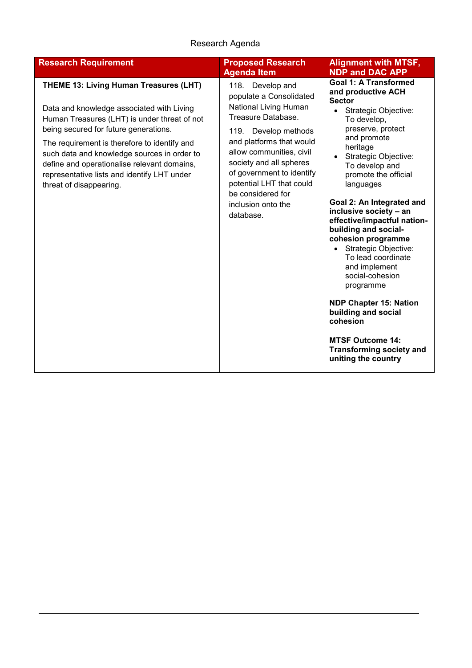| <b>Research Requirement</b>                                                                                                                                                                                                                                                                                                                                                                                 | <b>Proposed Research</b><br><b>Agenda Item</b>                                                                                                                                                                                                                                                                            | <b>Alignment with MTSF,</b><br><b>NDP and DAC APP</b>                                                                                                                                                                                                                                                                                                                                                                                                                                                                                                                                                                                                             |
|-------------------------------------------------------------------------------------------------------------------------------------------------------------------------------------------------------------------------------------------------------------------------------------------------------------------------------------------------------------------------------------------------------------|---------------------------------------------------------------------------------------------------------------------------------------------------------------------------------------------------------------------------------------------------------------------------------------------------------------------------|-------------------------------------------------------------------------------------------------------------------------------------------------------------------------------------------------------------------------------------------------------------------------------------------------------------------------------------------------------------------------------------------------------------------------------------------------------------------------------------------------------------------------------------------------------------------------------------------------------------------------------------------------------------------|
| <b>THEME 13: Living Human Treasures (LHT)</b><br>Data and knowledge associated with Living<br>Human Treasures (LHT) is under threat of not<br>being secured for future generations.<br>The requirement is therefore to identify and<br>such data and knowledge sources in order to<br>define and operationalise relevant domains,<br>representative lists and identify LHT under<br>threat of disappearing. | 118. Develop and<br>populate a Consolidated<br>National Living Human<br>Treasure Database.<br>119.<br>Develop methods<br>and platforms that would<br>allow communities, civil<br>society and all spheres<br>of government to identify<br>potential LHT that could<br>be considered for<br>inclusion onto the<br>database. | <b>Goal 1: A Transformed</b><br>and productive ACH<br><b>Sector</b><br>Strategic Objective:<br>$\bullet$<br>To develop,<br>preserve, protect<br>and promote<br>heritage<br>Strategic Objective:<br>$\bullet$<br>To develop and<br>promote the official<br>languages<br>Goal 2: An Integrated and<br>inclusive society - an<br>effective/impactful nation-<br>building and social-<br>cohesion programme<br>• Strategic Objective:<br>To lead coordinate<br>and implement<br>social-cohesion<br>programme<br><b>NDP Chapter 15: Nation</b><br>building and social<br>cohesion<br><b>MTSF Outcome 14:</b><br><b>Transforming society and</b><br>uniting the country |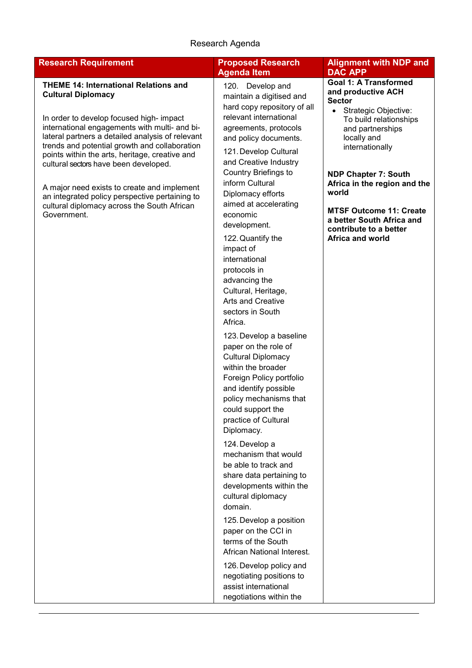| <b>Research Requirement</b>                                                                                                                                                                                                                                                                                                                                            | <b>Proposed Research</b>                                                                                                                                                                                                                                 | <b>Alignment with NDP and</b>                                                                                                                                                                                                             |
|------------------------------------------------------------------------------------------------------------------------------------------------------------------------------------------------------------------------------------------------------------------------------------------------------------------------------------------------------------------------|----------------------------------------------------------------------------------------------------------------------------------------------------------------------------------------------------------------------------------------------------------|-------------------------------------------------------------------------------------------------------------------------------------------------------------------------------------------------------------------------------------------|
| <b>THEME 14: International Relations and</b><br><b>Cultural Diplomacy</b><br>In order to develop focused high- impact<br>international engagements with multi- and bi-<br>lateral partners a detailed analysis of relevant<br>trends and potential growth and collaboration<br>points within the arts, heritage, creative and<br>cultural sectors have been developed. | <b>Agenda Item</b><br>120. Develop and<br>maintain a digitised and<br>hard copy repository of all<br>relevant international<br>agreements, protocols<br>and policy documents.<br>121. Develop Cultural<br>and Creative Industry<br>Country Briefings to  | <b>DAC APP</b><br><b>Goal 1: A Transformed</b><br>and productive ACH<br><b>Sector</b><br>Strategic Objective:<br>$\bullet$<br>To build relationships<br>and partnerships<br>locally and<br>internationally<br><b>NDP Chapter 7: South</b> |
| A major need exists to create and implement<br>an integrated policy perspective pertaining to<br>cultural diplomacy across the South African<br>Government.                                                                                                                                                                                                            | inform Cultural<br>Diplomacy efforts<br>aimed at accelerating<br>economic<br>development.<br>122. Quantify the<br>impact of<br>international<br>protocols in<br>advancing the<br>Cultural, Heritage,<br>Arts and Creative<br>sectors in South<br>Africa. | Africa in the region and the<br>world<br><b>MTSF Outcome 11: Create</b><br>a better South Africa and<br>contribute to a better<br>Africa and world                                                                                        |
|                                                                                                                                                                                                                                                                                                                                                                        | 123. Develop a baseline<br>paper on the role of<br><b>Cultural Diplomacy</b><br>within the broader<br>Foreign Policy portfolio<br>and identify possible<br>policy mechanisms that<br>could support the<br>practice of Cultural<br>Diplomacy.             |                                                                                                                                                                                                                                           |
|                                                                                                                                                                                                                                                                                                                                                                        | 124. Develop a<br>mechanism that would<br>be able to track and<br>share data pertaining to<br>developments within the<br>cultural diplomacy<br>domain.<br>125. Develop a position                                                                        |                                                                                                                                                                                                                                           |
|                                                                                                                                                                                                                                                                                                                                                                        | paper on the CCI in<br>terms of the South<br>African National Interest.<br>126. Develop policy and<br>negotiating positions to<br>assist international<br>negotiations within the                                                                        |                                                                                                                                                                                                                                           |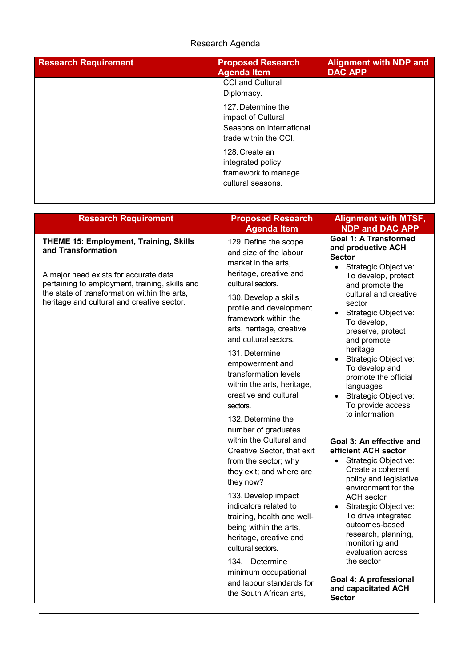| <b>Research Requirement</b> | <b>Proposed Research</b><br><b>Agenda Item</b>                                                | <b>Alignment with NDP and</b><br><b>DAC APP</b> |
|-----------------------------|-----------------------------------------------------------------------------------------------|-------------------------------------------------|
|                             | <b>CCI and Cultural</b><br>Diplomacy.                                                         |                                                 |
|                             | 127. Determine the<br>impact of Cultural<br>Seasons on international<br>trade within the CCI. |                                                 |
|                             | 128. Create an<br>integrated policy<br>framework to manage<br>cultural seasons.               |                                                 |

| <b>Research Requirement</b>                                                                | <b>Proposed Research</b><br><b>Agenda Item</b>                                                                                                      | <b>Alignment with MTSF,</b><br><b>NDP and DAC APP</b>                                                                                                         |  |
|--------------------------------------------------------------------------------------------|-----------------------------------------------------------------------------------------------------------------------------------------------------|---------------------------------------------------------------------------------------------------------------------------------------------------------------|--|
| <b>THEME 15: Employment, Training, Skills</b><br>and Transformation                        | 129. Define the scope<br>and size of the labour<br>market in the arts,<br>heritage, creative and                                                    | <b>Goal 1: A Transformed</b><br>and productive ACH<br><b>Sector</b><br>Strategic Objective:<br>$\bullet$                                                      |  |
| A major need exists for accurate data<br>pertaining to employment, training, skills and    | cultural sectors.                                                                                                                                   | To develop, protect<br>and promote the                                                                                                                        |  |
| the state of transformation within the arts,<br>heritage and cultural and creative sector. | 130. Develop a skills<br>profile and development<br>framework within the<br>arts, heritage, creative<br>and cultural sectors.                       | cultural and creative<br>sector<br>Strategic Objective:<br>To develop,<br>preserve, protect<br>and promote                                                    |  |
|                                                                                            | 131. Determine<br>empowerment and<br>transformation levels<br>within the arts, heritage,<br>creative and cultural<br>sectors.                       | heritage<br>Strategic Objective:<br>To develop and<br>promote the official<br>languages<br>Strategic Objective:<br>$\bullet$<br>To provide access             |  |
|                                                                                            | 132. Determine the<br>number of graduates                                                                                                           | to information                                                                                                                                                |  |
|                                                                                            | within the Cultural and<br>Creative Sector, that exit<br>from the sector; why<br>they exit; and where are<br>they now?                              | Goal 3: An effective and<br>efficient ACH sector<br>Strategic Objective:<br>Create a coherent<br>policy and legislative<br>environment for the                |  |
|                                                                                            | 133. Develop impact<br>indicators related to<br>training, health and well-<br>being within the arts,<br>heritage, creative and<br>cultural sectors. | <b>ACH</b> sector<br>Strategic Objective:<br>$\bullet$<br>To drive integrated<br>outcomes-based<br>research, planning,<br>monitoring and<br>evaluation across |  |
|                                                                                            | 134. Determine<br>minimum occupational<br>and labour standards for<br>the South African arts,                                                       | the sector<br>Goal 4: A professional<br>and capacitated ACH<br><b>Sector</b>                                                                                  |  |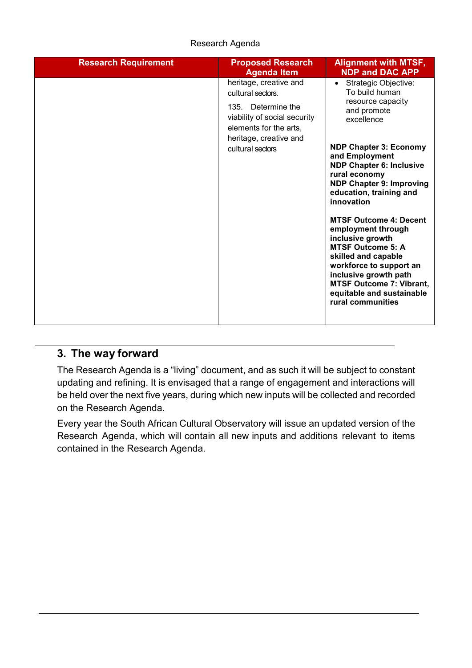| <b>Research Requirement</b> | <b>Proposed Research</b><br><b>Agenda Item</b>                                                                                                                            | <b>Alignment with MTSF,</b><br><b>NDP and DAC APP</b>                                                                                                                                                                                                                                                                                                                                                                                                                                                                                                           |
|-----------------------------|---------------------------------------------------------------------------------------------------------------------------------------------------------------------------|-----------------------------------------------------------------------------------------------------------------------------------------------------------------------------------------------------------------------------------------------------------------------------------------------------------------------------------------------------------------------------------------------------------------------------------------------------------------------------------------------------------------------------------------------------------------|
|                             | heritage, creative and<br>cultural sectors.<br>135. Determine the<br>viability of social security<br>elements for the arts,<br>heritage, creative and<br>cultural sectors | Strategic Objective:<br>$\bullet$<br>To build human<br>resource capacity<br>and promote<br>excellence<br><b>NDP Chapter 3: Economy</b><br>and Employment<br><b>NDP Chapter 6: Inclusive</b><br>rural economy<br><b>NDP Chapter 9: Improving</b><br>education, training and<br>innovation<br><b>MTSF Outcome 4: Decent</b><br>employment through<br>inclusive growth<br><b>MTSF Outcome 5: A</b><br>skilled and capable<br>workforce to support an<br>inclusive growth path<br><b>MTSF Outcome 7: Vibrant,</b><br>equitable and sustainable<br>rural communities |

## <span id="page-25-0"></span>**3. The way forward**

The Research Agenda is a "living" document, and as such it will be subject to constant updating and refining. It is envisaged that a range of engagement and interactions will be held over the next five years, during which new inputs will be collected and recorded on the Research Agenda.

Every year the South African Cultural Observatory will issue an updated version of the Research Agenda, which will contain all new inputs and additions relevant to items contained in the Research Agenda.